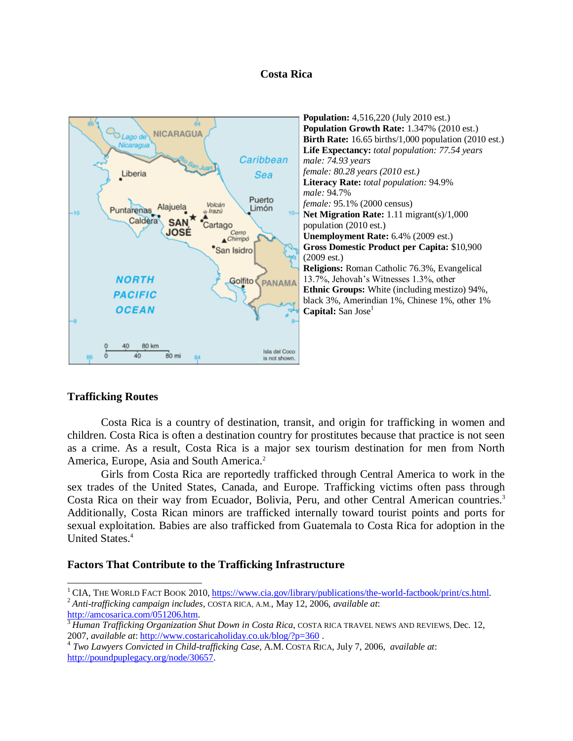### **Costa Rica**



# **Trafficking Routes**

 $\overline{a}$ 

Costa Rica is a country of destination, transit, and origin for trafficking in women and children. Costa Rica is often a destination country for prostitutes because that practice is not seen as a crime. As a result, Costa Rica is a major sex tourism destination for men from North America, Europe, Asia and South America.<sup>2</sup>

Girls from Costa Rica are reportedly trafficked through Central America to work in the sex trades of the United States, Canada, and Europe. Trafficking victims often pass through Costa Rica on their way from Ecuador, Bolivia, Peru, and other Central American countries.<sup>3</sup> Additionally, Costa Rican minors are trafficked internally toward tourist points and ports for sexual exploitation. Babies are also trafficked from Guatemala to Costa Rica for adoption in the United States.<sup>4</sup>

#### **Factors That Contribute to the Trafficking Infrastructure**

<sup>&</sup>lt;sup>1</sup> CIA, THE WORLD FACT BOOK 2010[, https://www.cia.gov/library/publications/the-world-factbook/print/cs.html.](https://www.cia.gov/library/publications/the-world-factbook/print/cs.html) <sup>2</sup> *Anti-trafficking campaign includes,* COSTA RICA, A.M*.*, May 12, 2006, *available at*: [http://amcosarica.com/051206.htm.](http://amcosarica.com/051206.htm)

<sup>3</sup> *Human Trafficking Organization Shut Down in Costa Rica*, COSTA RICA TRAVEL NEWS AND REVIEWS, Dec. 12, 2007, *available at*: <http://www.costaricaholiday.co.uk/blog/?p=360> .

<sup>4</sup> *Two Lawyers Convicted in Child-trafficking Case,* A.M. COSTA RICA, July 7, 2006, *available at*: [http://poundpuplegacy.org/node/30657.](http://poundpuplegacy.org/node/30657)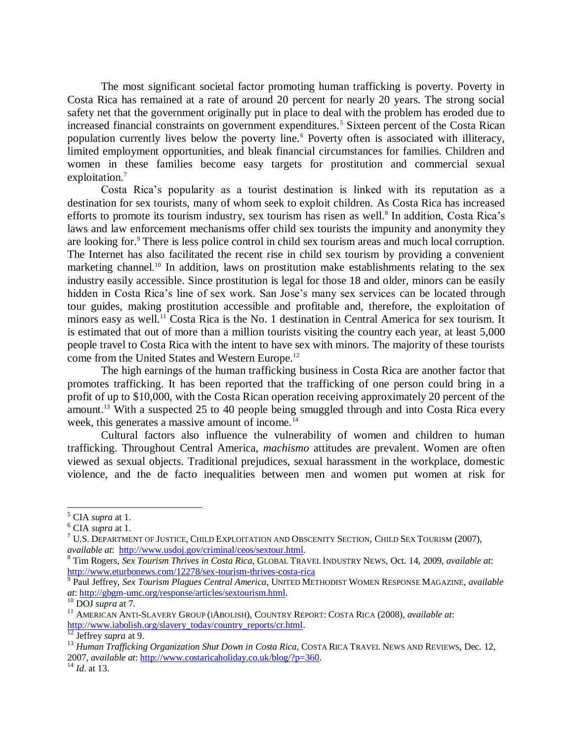The most significant societal factor promoting human trafficking is poverty. Poverty in Costa Rica has remained at a rate of around 20 percent for nearly 20 years. The strong social safety net that the government originally put in place to deal with the problem has eroded due to increased financial constraints on government expenditures.<sup>5</sup> Sixteen percent of the Costa Rican population currently lives below the poverty line.<sup>6</sup> Poverty often is associated with illiteracy, limited employment opportunities, and bleak financial circumstances for families. Children and women in these families become easy targets for prostitution and commercial sexual exploitation.<sup>7</sup>

Costa Rica's popularity as a tourist destination is linked with its reputation as a destination for sex tourists, many of whom seek to exploit children. As Costa Rica has increased efforts to promote its tourism industry, sex tourism has risen as well.<sup>8</sup> In addition, Costa Rica's laws and law enforcement mechanisms offer child sex tourists the impunity and anonymity they are looking for.<sup>9</sup> There is less police control in child sex tourism areas and much local corruption. The Internet has also facilitated the recent rise in child sex tourism by providing a convenient marketing channel. <sup>10</sup> In addition, laws on prostitution make establishments relating to the sex industry easily accessible. Since prostitution is legal for those 18 and older, minors can be easily hidden in Costa Rica's line of sex work. San Jose's many sex services can be located through tour guides, making prostitution accessible and profitable and, therefore, the exploitation of minors easy as well.<sup>11</sup> Costa Rica is the No. 1 destination in Central America for sex tourism. It is estimated that out of more than a million tourists visiting the country each year, at least 5,000 people travel to Costa Rica with the intent to have sex with minors. The majority of these tourists come from the United States and Western Europe.<sup>12</sup>

The high earnings of the human trafficking business in Costa Rica are another factor that promotes trafficking. It has been reported that the trafficking of one person could bring in a profit of up to \$10,000, with the Costa Rican operation receiving approximately 20 percent of the amount.<sup>13</sup> With a suspected 25 to 40 people being smuggled through and into Costa Rica every week, this generates a massive amount of income.<sup>14</sup>

Cultural factors also influence the vulnerability of women and children to human trafficking. Throughout Central America, *machismo* attitudes are prevalent. Women are often viewed as sexual objects. Traditional prejudices, sexual harassment in the workplace, domestic violence, and the de facto inequalities between men and women put women at risk for

 $\overline{a}$ 

<sup>5</sup> CIA *supra* at 1.

<sup>6</sup> CIA *supra* at 1.

 $7 \text{ U.S.}$  Department of Justice, Child Exploitation and Obscenity Section, Child Sex Tourism (2007), *available at*: [http://www.usdoj.gov/criminal/ceos/sextour.html.](http://www.usdoj.gov/criminal/ceos/sextour.html)

<sup>8</sup> Tim Rogers, *Sex Tourism Thrives in Costa Rica,* GLOBAL TRAVEL INDUSTRY NEWS, Oct. 14, 2009, *available at*: <http://www.eturbonews.com/12278/sex-tourism-thrives-costa-rica>

<sup>9</sup> Paul Jeffrey, *Sex Tourism Plagues Central America*, UNITED METHODIST WOMEN RESPONSE MAGAZINE, *available at*: [http://gbgm-umc.org/response/articles/sextourism.html.](http://gbgm-umc.org/response/articles/sextourism.html)

<sup>10</sup> DOJ *supra* at 7.

<sup>11</sup> AMERICAN ANTI-SLAVERY GROUP (IABOLISH), COUNTRY REPORT: COSTA RICA (2008), *available at*: [http://www.iabolish.org/slavery\\_today/country\\_reports/cr.html.](http://www.iabolish.org/slavery_today/country_reports/cr.html)

<sup>12</sup> Jeffrey *supra* at 9.

<sup>&</sup>lt;sup>13</sup> *Human Trafficking Organization Shut Down in Costa Rica*, COSTA RICA TRAVEL NEWS AND REVIEWS, Dec. 12, 2007, *available at*: [http://www.costaricaholiday.co.uk/blog/?p=360.](http://www.costaricaholiday.co.uk/blog/?p=360)

<sup>14</sup> *Id*. at 13.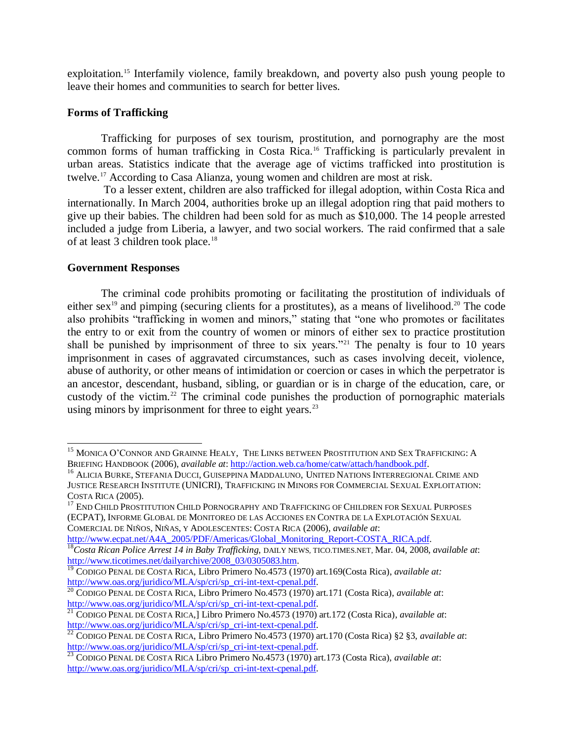exploitation.<sup>15</sup> Interfamily violence, family breakdown, and poverty also push young people to leave their homes and communities to search for better lives.

# **Forms of Trafficking**

Trafficking for purposes of sex tourism, prostitution, and pornography are the most common forms of human trafficking in Costa Rica.<sup>16</sup> Trafficking is particularly prevalent in urban areas. Statistics indicate that the average age of victims trafficked into prostitution is twelve.<sup>17</sup> According to Casa Alianza, young women and children are most at risk.

To a lesser extent, children are also trafficked for illegal adoption, within Costa Rica and internationally. In March 2004, authorities broke up an illegal adoption ring that paid mothers to give up their babies. The children had been sold for as much as \$10,000. The 14 people arrested included a judge from Liberia, a lawyer, and two social workers. The raid confirmed that a sale of at least 3 children took place.<sup>18</sup>

# **Government Responses**

 $\overline{a}$ 

The criminal code prohibits promoting or facilitating the prostitution of individuals of either sex<sup>19</sup> and pimping (securing clients for a prostitutes), as a means of livelihood.<sup>20</sup> The code also prohibits "trafficking in women and minors," stating that "one who promotes or facilitates the entry to or exit from the country of women or minors of either sex to practice prostitution shall be punished by imprisonment of three to six years."<sup>21</sup> The penalty is four to 10 years imprisonment in cases of aggravated circumstances, such as cases involving deceit, violence, abuse of authority, or other means of intimidation or coercion or cases in which the perpetrator is an ancestor, descendant, husband, sibling, or guardian or is in charge of the education, care, or custody of the victim.<sup>22</sup> The criminal code punishes the production of pornographic materials using minors by imprisonment for three to eight years. $^{23}$ 

<sup>&</sup>lt;sup>15</sup> MONICA O'CONNOR AND GRAINNE HEALY, THE LINKS BETWEEN PROSTITUTION AND SEX TRAFFICKING: A BRIEFING HANDBOOK (2006), *available at*: [http://action.web.ca/home/catw/attach/handbook.pdf.](http://action.web.ca/home/catw/attach/handbook.pdf)

<sup>16</sup> ALICIA BURKE, STEFANIA DUCCI, GUISEPPINA MADDALUNO, UNITED NATIONS INTERREGIONAL CRIME AND JUSTICE RESEARCH INSTITUTE (UNICRI), TRAFFICKING IN MINORS FOR COMMERCIAL SEXUAL EXPLOITATION: COSTA RICA (2005).

<sup>&</sup>lt;sup>17</sup> END CHILD PROSTITUTION CHILD PORNOGRAPHY AND TRAFFICKING OF CHILDREN FOR SEXUAL PURPOSES (ECPAT), INFORME GLOBAL DE MONITOREO DE LAS ACCIONES EN CONTRA DE LA EXPLOTACIÓN SEXUAL COMERCIAL DE NIÑOS, NIÑAS, Y ADOLESCENTES: COSTA RICA (2006), *available at*:

[http://www.ecpat.net/A4A\\_2005/PDF/Americas/Global\\_Monitoring\\_Report-COSTA\\_RICA.pdf.](http://www.ecpat.net/A4A_2005/PDF/Americas/Global_Monitoring_Report-COSTA_RICA.pdf)

<sup>18</sup>*Costa Rican Police Arrest 14 in Baby Trafficking*, DAILY NEWS, TICO.TIMES.NET, Mar. 04, 2008, *available at*: [http://www.ticotimes.net/dailyarchive/2008\\_03/0305083.htm.](http://www.ticotimes.net/dailyarchive/2008_03/0305083.htm)

<sup>19</sup> CODIGO PENAL DE COSTA RICA, Libro Primero No.4573 (1970) art.169(Costa Rica), *available at:* [http://www.oas.org/juridico/MLA/sp/cri/sp\\_cri-int-text-cpenal.pdf.](http://www.oas.org/juridico/MLA/sp/cri/sp_cri-int-text-cpenal.pdf)

<sup>20</sup> CODIGO PENAL DE COSTA RICA, Libro Primero No.4573 (1970) art.171 (Costa Rica), *available at*: [http://www.oas.org/juridico/MLA/sp/cri/sp\\_cri-int-text-cpenal.pdf.](http://www.oas.org/juridico/MLA/sp/cri/sp_cri-int-text-cpenal.pdf)

<sup>21</sup> CODIGO PENAL DE COSTA RICA,] Libro Primero No.4573 (1970) art.172 (Costa Rica), *available at*: [http://www.oas.org/juridico/MLA/sp/cri/sp\\_cri-int-text-cpenal.pdf.](http://www.oas.org/juridico/MLA/sp/cri/sp_cri-int-text-cpenal.pdf)

<sup>22</sup> CODIGO PENAL DE COSTA RICA, Libro Primero No.4573 (1970) art.170 (Costa Rica) §2 §3, *available at*: [http://www.oas.org/juridico/MLA/sp/cri/sp\\_cri-int-text-cpenal.pdf.](http://www.oas.org/juridico/MLA/sp/cri/sp_cri-int-text-cpenal.pdf)

<sup>23</sup> CODIGO PENAL DE COSTA RICA Libro Primero No.4573 (1970) art.173 (Costa Rica), *available at*: [http://www.oas.org/juridico/MLA/sp/cri/sp\\_cri-int-text-cpenal.pdf.](http://www.oas.org/juridico/MLA/sp/cri/sp_cri-int-text-cpenal.pdf)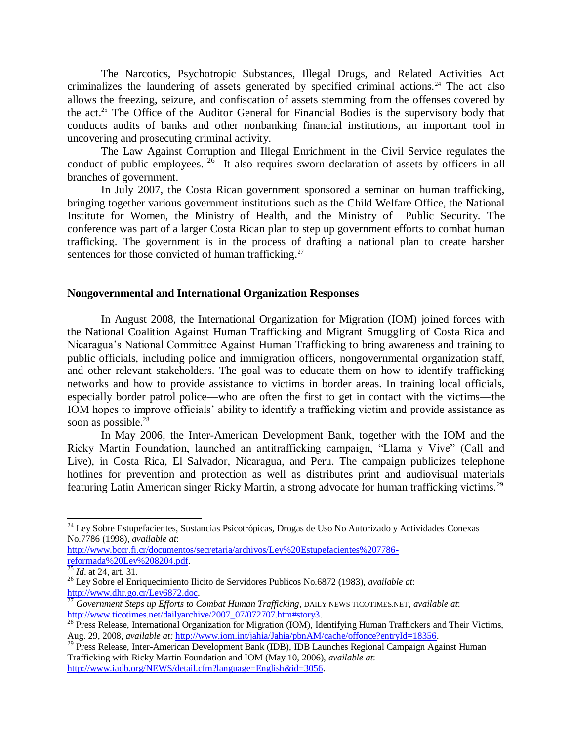The Narcotics, Psychotropic Substances, Illegal Drugs, and Related Activities Act criminalizes the laundering of assets generated by specified criminal actions.<sup>24</sup> The act also allows the freezing, seizure, and confiscation of assets stemming from the offenses covered by the act.<sup>25</sup> The Office of the Auditor General for Financial Bodies is the supervisory body that conducts audits of banks and other nonbanking financial institutions, an important tool in uncovering and prosecuting criminal activity.

The Law Against Corruption and Illegal Enrichment in the Civil Service regulates the conduct of public employees.  $26$  It also requires sworn declaration of assets by officers in all branches of government.

In July 2007, the Costa Rican government sponsored a seminar on human trafficking, bringing together various government institutions such as the Child Welfare Office, the National Institute for Women, the Ministry of Health, and the Ministry of Public Security. The conference was part of a larger Costa Rican plan to step up government efforts to combat human trafficking. The government is in the process of drafting a national plan to create harsher sentences for those convicted of human trafficking.<sup>27</sup>

## **Nongovernmental and International Organization Responses**

In August 2008, the International Organization for Migration (IOM) joined forces with the National Coalition Against Human Trafficking and Migrant Smuggling of Costa Rica and Nicaragua's National Committee Against Human Trafficking to bring awareness and training to public officials, including police and immigration officers, nongovernmental organization staff, and other relevant stakeholders. The goal was to educate them on how to identify trafficking networks and how to provide assistance to victims in border areas. In training local officials, especially border patrol police—who are often the first to get in contact with the victims—the IOM hopes to improve officials' ability to identify a trafficking victim and provide assistance as soon as possible.<sup>28</sup>

In May 2006, the Inter-American Development Bank, together with the IOM and the Ricky Martin Foundation, launched an antitrafficking campaign, "Llama y Vive" (Call and Live), in Costa Rica, El Salvador, Nicaragua, and Peru. The campaign publicizes telephone hotlines for prevention and protection as well as distributes print and audiovisual materials featuring Latin American singer Ricky Martin, a strong advocate for human trafficking victims. <sup>29</sup>

[http://www.bccr.fi.cr/documentos/secretaria/archivos/Ley%20Estupefacientes%207786](http://www.bccr.fi.cr/documentos/secretaria/archivos/Ley%20Estupefacientes%207786-reformada%20Ley%208204.pdf) [reformada%20Ley%208204.pdf.](http://www.bccr.fi.cr/documentos/secretaria/archivos/Ley%20Estupefacientes%207786-reformada%20Ley%208204.pdf)

 $\overline{a}$ 

<sup>&</sup>lt;sup>24</sup> Ley Sobre Estupefacientes, Sustancias Psicotrópicas, Drogas de Uso No Autorizado y Actividades Conexas No.7786 (1998), *available at*:

<sup>25</sup> *Id*. at 24, art. 31.

<sup>26</sup> Ley Sobre el Enriquecimiento Ilicito de Servidores Publicos No.6872 (1983), *available at*: [http://www.dhr.go.cr/Ley6872.doc.](http://www.dhr.go.cr/Ley6872.doc)

<sup>27</sup> *Government Steps up Efforts to Combat Human Trafficking*, DAILY NEWS TICOTIMES.NET, *available at*: [http://www.ticotimes.net/dailyarchive/2007\\_07/072707.htm#story3.](http://www.ticotimes.net/dailyarchive/2007_07/072707.htm#story3)

 $\overline{^{28}}$  Press Release, International Organization for Migration (IOM), Identifying Human Traffickers and Their Victims, Aug. 29, 2008, *available at:* [http://www.iom.int/jahia/Jahia/pbnAM/cache/offonce?entryId=18356.](http://www.iom.int/jahia/Jahia/pbnAM/cache/offonce?entryId=18356)

<sup>&</sup>lt;sup>29</sup> Press Release, Inter-American Development Bank (IDB), IDB Launches Regional Campaign Against Human Trafficking with Ricky Martin Foundation and IOM (May 10, 2006), *available at*: [http://www.iadb.org/NEWS/detail.cfm?language=English&id=3056.](http://www.iadb.org/NEWS/detail.cfm?language=English&id=3056)